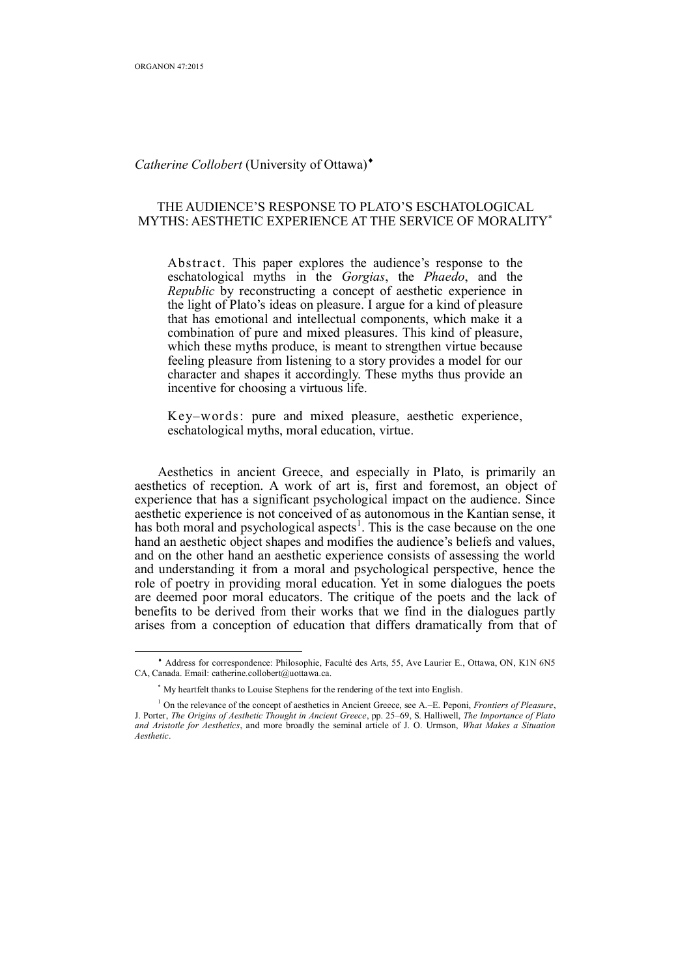$\overline{a}$ 

### *Catherine Collobert* (University of Ottawa)

# THE AUDIENCE'S RESPONSE TO PLATO'S ESCHATOLOGICAL MYTHS: AESTHETIC EXPERIENCE AT THE SERVICE OF MORALITY

Abstract. This paper explores the audience's response to the eschatological myths in the *Gorgias*, the *Phaedo*, and the *Republic* by reconstructing a concept of aesthetic experience in the light of Plato's ideas on pleasure. I argue for a kind of pleasure that has emotional and intellectual components, which make it a combination of pure and mixed pleasures. This kind of pleasure, which these myths produce, is meant to strengthen virtue because feeling pleasure from listening to a story provides a model for our character and shapes it accordingly. These myths thus provide an incentive for choosing a virtuous life.

Key–words: pure and mixed pleasure, aesthetic experience, eschatological myths, moral education, virtue.

Aesthetics in ancient Greece, and especially in Plato, is primarily an aesthetics of reception. A work of art is, first and foremost, an object of experience that has a significant psychological impact on the audience. Since aesthetic experience is not conceived of as autonomous in the Kantian sense, it has both moral and psychological aspects<sup>1</sup>. This is the case because on the one hand an aesthetic object shapes and modifies the audience's beliefs and values, and on the other hand an aesthetic experience consists of assessing the world and understanding it from a moral and psychological perspective, hence the role of poetry in providing moral education. Yet in some dialogues the poets are deemed poor moral educators. The critique of the poets and the lack of benefits to be derived from their works that we find in the dialogues partly arises from a conception of education that differs dramatically from that of

 Address for correspondence: Philosophie, Faculté des Arts, 55, Ave Laurier E., Ottawa, ON, K1N 6N5 CA, Canada. Email: catherine.collobert@uottawa.ca.

 My heartfelt thanks to Louise Stephens for the rendering of the text into English.

<sup>1</sup> On the relevance of the concept of aesthetics in Ancient Greece, see A.–E. Peponi, *Frontiers of Pleasure*, J. Porter, *The Origins of Aesthetic Thought in Ancient Greece*, pp. 25–69, S. Halliwell, *The Importance of Plato and Aristotle for Aesthetics*, and more broadly the seminal article of J. O. Urmson, *What Makes a Situation Aesthetic*.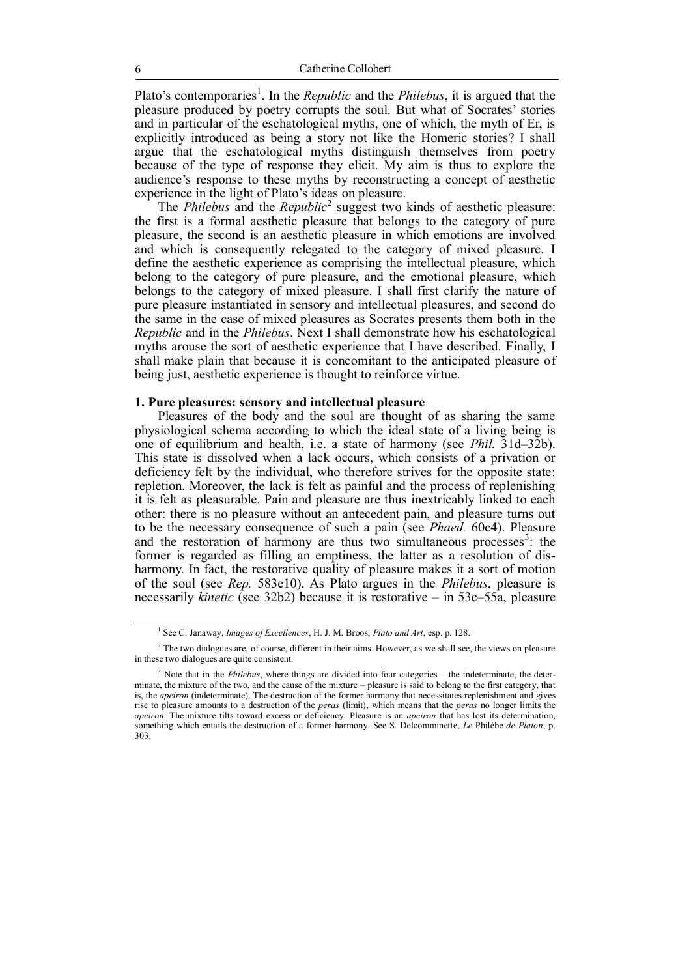Plato's contemporaries<sup>1</sup>. In the *Republic* and the *Philebus*, it is argued that the pleasure produced by poetry corrupts the soul. But what of Socrates' stories and in particular of the eschatological myths, one of which, the myth of Er, is explicitly introduced as being a story not like the Homeric stories? I shall argue that the eschatological myths distinguish themselves from poetry because of the type of response they elicit. My aim is thus to explore the audience's response to these myths by reconstructing a concept of aesthetic experience in the light of Plato's ideas on pleasure.

The *Philebus* and the *Republic*<sup>2</sup> suggest two kinds of aesthetic pleasure: the first is a formal aesthetic pleasure that belongs to the category of pure pleasure, the second is an aesthetic pleasure in which emotions are involved and which is consequently relegated to the category of mixed pleasure. I define the aesthetic experience as comprising the intellectual pleasure, which belong to the category of pure pleasure, and the emotional pleasure, which belongs to the category of mixed pleasure. I shall first clarify the nature of pure pleasure instantiated in sensory and intellectual pleasures, and second do the same in the case of mixed pleasures as Socrates presents them both in the *Republic* and in the *Philebus*. Next I shall demonstrate how his eschatological myths arouse the sort of aesthetic experience that I have described. Finally, I shall make plain that because it is concomitant to the anticipated pleasure of being just, aesthetic experience is thought to reinforce virtue.

#### **1. Pure pleasures: sensory and intellectual pleasure**

Pleasures of the body and the soul are thought of as sharing the same physiological schema according to which the ideal state of a living being is one of equilibrium and health, i.e. a state of harmony (see *Phil.* 31d–32b). This state is dissolved when a lack occurs, which consists of a privation or deficiency felt by the individual, who therefore strives for the opposite state: repletion. Moreover, the lack is felt as painful and the process of replenishing it is felt as pleasurable. Pain and pleasure are thus inextricably linked to each other: there is no pleasure without an antecedent pain, and pleasure turns out to be the necessary consequence of such a pain (see *Phaed.* 60c4). Pleasure and the restoration of harmony are thus two simultaneous processes $3$ : the former is regarded as filling an emptiness, the latter as a resolution of disharmony. In fact, the restorative quality of pleasure makes it a sort of motion of the soul (see *Rep.* 583e10). As Plato argues in the *Philebus*, pleasure is necessarily *kinetic* (see 32b2) because it is restorative – in 53c–55a, pleasure

<sup>1</sup> See C. Janaway, *Images of Excellences*, H. J. M. Broos, *Plato and Art*, esp. p. 128.

<sup>&</sup>lt;sup>2</sup> The two dialogues are, of course, different in their aims. However, as we shall see, the views on pleasure in these two dialogues are quite consistent.

<sup>&</sup>lt;sup>3</sup> Note that in the *Philebus*, where things are divided into four categories – the indeterminate, the determinate, the mixture of the two, and the cause of the mixture – pleasure is said to belong to the first category, that is, the *apeiron* (indeterminate). The destruction of the former harmony that necessitates replenishment and gives rise to pleasure amounts to a destruction of the *peras* (limit), which means that the *peras* no longer limits the *apeiron*. The mixture tilts toward excess or deficiency. Pleasure is an *apeiron* that has lost its determination, something which entails the destruction of a former harmony. See S. Delcomminette, *Le* Philèbe *de Platon*, p. 303.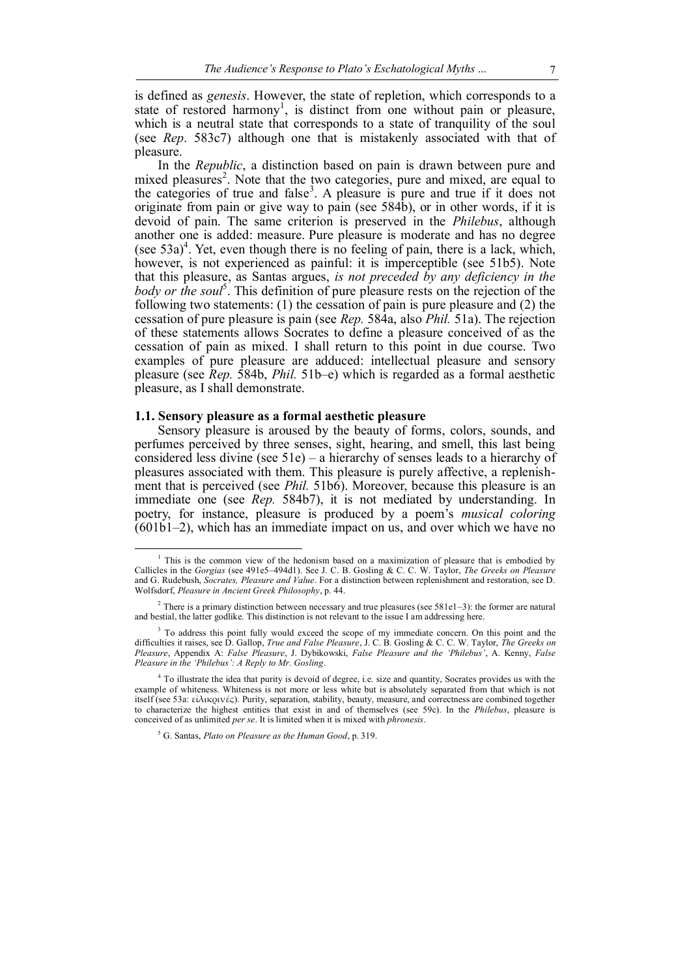is defined as *genesis*. However, the state of repletion, which corresponds to a state of restored harmony<sup>1</sup>, is distinct from one without pain or pleasure, which is a neutral state that corresponds to a state of tranquility of the soul (see *Rep*. 583c7) although one that is mistakenly associated with that of pleasure.

In the *Republic*, a distinction based on pain is drawn between pure and mixed pleasures<sup>2</sup>. Note that the two categories, pure and mixed, are equal to the categories of true and false<sup>3</sup>. A pleasure is pure and true if it does not originate from pain or give way to pain (see 584b), or in other words, if it is devoid of pain. The same criterion is preserved in the *Philebus*, although another one is added: measure. Pure pleasure is moderate and has no degree (see  $53a$ )<sup>4</sup>. Yet, even though there is no feeling of pain, there is a lack, which, however, is not experienced as painful: it is imperceptible (see 51b5). Note that this pleasure, as Santas argues, *is not preceded by any deficiency in the*  body or the soul<sup>5</sup>. This definition of pure pleasure rests on the rejection of the following two statements: (1) the cessation of pain is pure pleasure and (2) the cessation of pure pleasure is pain (see *Rep.* 584a, also *Phil.* 51a). The rejection of these statements allows Socrates to define a pleasure conceived of as the cessation of pain as mixed. I shall return to this point in due course. Two examples of pure pleasure are adduced: intellectual pleasure and sensory pleasure (see *Rep.* 584b, *Phil.* 51b–e) which is regarded as a formal aesthetic pleasure, as I shall demonstrate.

#### **1.1. Sensory pleasure as a formal aesthetic pleasure**

Sensory pleasure is aroused by the beauty of forms, colors, sounds, and perfumes perceived by three senses, sight, hearing, and smell, this last being considered less divine (see 51e) – a hierarchy of senses leads to a hierarchy of pleasures associated with them. This pleasure is purely affective, a replenishment that is perceived (see *Phil.* 51b6). Moreover, because this pleasure is an immediate one (see *Rep.* 584b7), it is not mediated by understanding. In poetry, for instance, pleasure is produced by a poem's *musical coloring*  $(601b1-2)$ , which has an immediate impact on us, and over which we have no

<sup>5</sup> G. Santas, *Plato on Pleasure as the Human Good*, p. 319.

 $<sup>1</sup>$  This is the common view of the hedonism based on a maximization of pleasure that is embodied by</sup> Callicles in the *Gorgias* (see 491e5–494d1). See J. C. B. Gosling & C. C. W. Taylor, *The Greeks on Pleasure* and G. Rudebush, *Socrates, Pleasure and Value*. For a distinction between replenishment and restoration, see D. Wolfsdorf, *Pleasure in Ancient Greek Philosophy*, p. 44.

<sup>2</sup> There is a primary distinction between necessary and true pleasures (see 581e1–3): the former are natural and bestial, the latter godlike. This distinction is not relevant to the issue I am addressing here.

<sup>&</sup>lt;sup>3</sup> To address this point fully would exceed the scope of my immediate concern. On this point and the difficulties it raises, see D. Gallop, *True and False Pleasure*, J. C. B. Gosling & C. C. W. Taylor, *The Greeks on Pleasure*, Appendix A: *False Pleasure*, J. Dybikowski, *False Pleasure and the 'Philebus'*, A. Kenny, *False Pleasure in the 'Philebus': A Reply to Mr. Gosling*.

<sup>&</sup>lt;sup>4</sup> To illustrate the idea that purity is devoid of degree, i.e. size and quantity, Socrates provides us with the example of whiteness. Whiteness is not more or less white but is absolutely separated from that which is not itself (see 53a: εἰλικρινές). Purity, separation, stability, beauty, measure, and correctness are combined together to characterize the highest entities that exist in and of themselves (see 59c). In the *Philebus*, pleasure is conceived of as unlimited *per se*. It is limited when it is mixed with *phronesis*.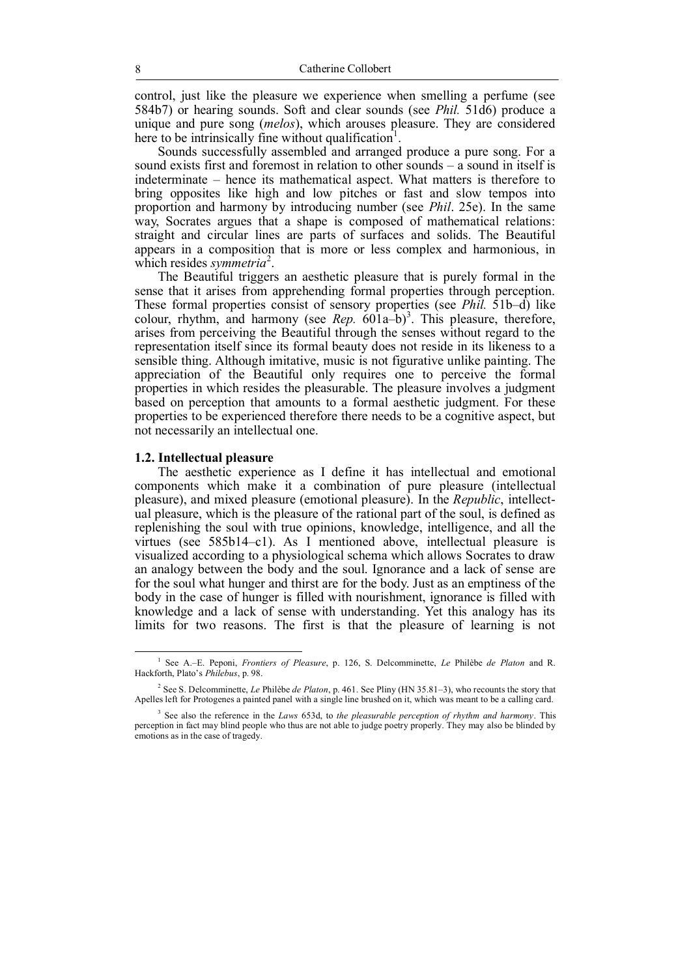control, just like the pleasure we experience when smelling a perfume (see 584b7) or hearing sounds. Soft and clear sounds (see *Phil.* 51d6) produce a unique and pure song (*melos*), which arouses pleasure. They are considered here to be intrinsically fine without qualification<sup>1</sup>.

Sounds successfully assembled and arranged produce a pure song. For a sound exists first and foremost in relation to other sounds – a sound in itself is indeterminate – hence its mathematical aspect. What matters is therefore to bring opposites like high and low pitches or fast and slow tempos into proportion and harmony by introducing number (see *Phil*. 25e). In the same way, Socrates argues that a shape is composed of mathematical relations: straight and circular lines are parts of surfaces and solids. The Beautiful appears in a composition that is more or less complex and harmonious, in which resides *symmetria*<sup>2</sup>.

The Beautiful triggers an aesthetic pleasure that is purely formal in the sense that it arises from apprehending formal properties through perception. These formal properties consist of sensory properties (see *Phil.* 51b–d) like colour, rhythm, and harmony (see *Rep.*  $601a-b$ <sup>3</sup>. This pleasure, therefore, arises from perceiving the Beautiful through the senses without regard to the representation itself since its formal beauty does not reside in its likeness to a sensible thing. Although imitative, music is not figurative unlike painting. The appreciation of the Beautiful only requires one to perceive the formal properties in which resides the pleasurable. The pleasure involves a judgment based on perception that amounts to a formal aesthetic judgment. For these properties to be experienced therefore there needs to be a cognitive aspect, but not necessarily an intellectual one.

#### **1.2. Intellectual pleasure**

 $\overline{a}$ 

The aesthetic experience as I define it has intellectual and emotional components which make it a combination of pure pleasure (intellectual pleasure), and mixed pleasure (emotional pleasure). In the *Republic*, intellectual pleasure, which is the pleasure of the rational part of the soul, is defined as replenishing the soul with true opinions, knowledge, intelligence, and all the virtues (see 585b14–c1). As I mentioned above, intellectual pleasure is visualized according to a physiological schema which allows Socrates to draw an analogy between the body and the soul. Ignorance and a lack of sense are for the soul what hunger and thirst are for the body. Just as an emptiness of the body in the case of hunger is filled with nourishment, ignorance is filled with knowledge and a lack of sense with understanding. Yet this analogy has its limits for two reasons. The first is that the pleasure of learning is not

<sup>1</sup> See A.–E. Peponi, *Frontiers of Pleasure*, p. 126, S. Delcomminette, *Le* Philèbe *de Platon* and R. Hackforth, Plato's *Philebus*, p. 98.

<sup>2</sup> See S. Delcomminette, *Le* Philèbe *de Platon*, p. 461. See Pliny (HN 35.81–3), who recounts the story that Apelles left for Protogenes a painted panel with a single line brushed on it, which was meant to be a calling card.

<sup>3</sup> See also the reference in the *Laws* 653d, to *the pleasurable perception of rhythm and harmony*. This perception in fact may blind people who thus are not able to judge poetry properly. They may also be blinded by emotions as in the case of tragedy.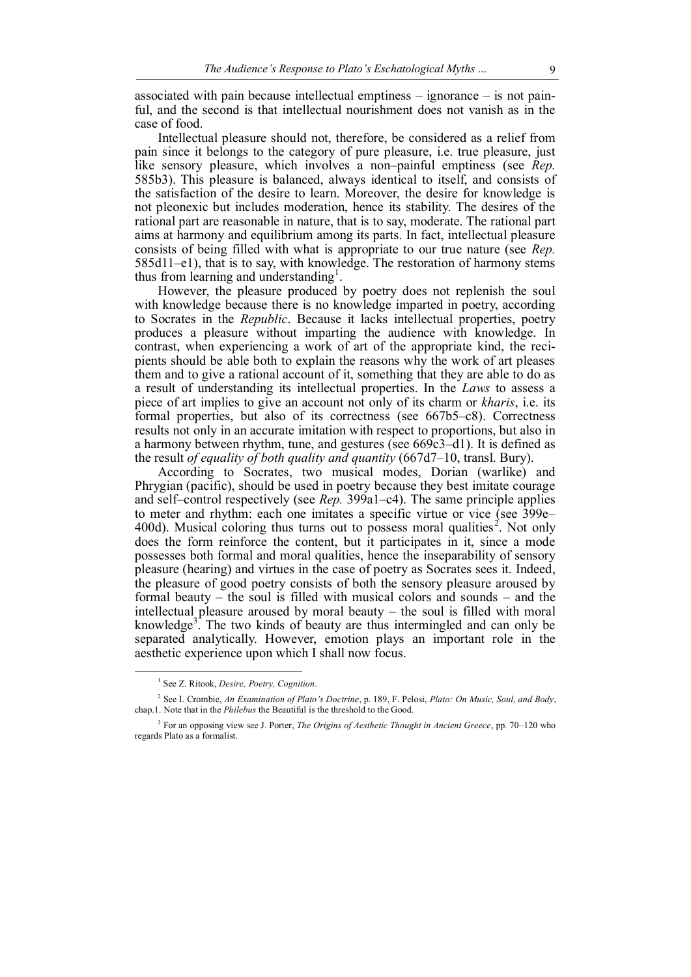associated with pain because intellectual emptiness – ignorance – is not painful, and the second is that intellectual nourishment does not vanish as in the case of food.

Intellectual pleasure should not, therefore, be considered as a relief from pain since it belongs to the category of pure pleasure, i.e. true pleasure, just like sensory pleasure, which involves a non–painful emptiness (see *Rep.* 585b3). This pleasure is balanced, always identical to itself, and consists of the satisfaction of the desire to learn. Moreover, the desire for knowledge is not pleonexic but includes moderation, hence its stability. The desires of the rational part are reasonable in nature, that is to say, moderate. The rational part aims at harmony and equilibrium among its parts. In fact, intellectual pleasure consists of being filled with what is appropriate to our true nature (see *Rep.* 585d11–e1), that is to say, with knowledge. The restoration of harmony stems thus from learning and understanding<sup>1</sup>.

However, the pleasure produced by poetry does not replenish the soul with knowledge because there is no knowledge imparted in poetry, according to Socrates in the *Republic*. Because it lacks intellectual properties, poetry produces a pleasure without imparting the audience with knowledge. In contrast, when experiencing a work of art of the appropriate kind, the recipients should be able both to explain the reasons why the work of art pleases them and to give a rational account of it, something that they are able to do as a result of understanding its intellectual properties. In the *Laws* to assess a piece of art implies to give an account not only of its charm or *kharis*, i.e. its formal properties, but also of its correctness (see 667b5–c8). Correctness results not only in an accurate imitation with respect to proportions, but also in a harmony between rhythm, tune, and gestures (see 669c3–d1). It is defined as the result *of equality of both quality and quantity* (667d7–10, transl. Bury).

According to Socrates, two musical modes, Dorian (warlike) and Phrygian (pacific), should be used in poetry because they best imitate courage and self–control respectively (see *Rep.* 399a1–c4). The same principle applies to meter and rhythm: each one imitates a specific virtue or vice (see 399e– 400d). Musical coloring thus turns out to possess moral qualities<sup>2</sup>. Not only does the form reinforce the content, but it participates in it, since a mode possesses both formal and moral qualities, hence the inseparability of sensory pleasure (hearing) and virtues in the case of poetry as Socrates sees it. Indeed, the pleasure of good poetry consists of both the sensory pleasure aroused by formal beauty – the soul is filled with musical colors and sounds – and the intellectual pleasure aroused by moral beauty – the soul is filled with moral knowledge<sup>3</sup>. The two kinds of beauty are thus intermingled and can only be separated analytically. However, emotion plays an important role in the aesthetic experience upon which I shall now focus.

<sup>1</sup> See Z. Ritook, *Desire, Poetry, Cognition*.

<sup>2</sup> See I. Crombie, *An Examination of Plato's Doctrine*, p. 189, F. Pelosi, *Plato: On Music, Soul, and Body*, chap.1. Note that in the *Philebus* the Beautiful is the threshold to the Good.

<sup>3</sup> For an opposing view see J. Porter, *The Origins of Aesthetic Thought in Ancient Greece*, pp. 70–120 who regards Plato as a formalist.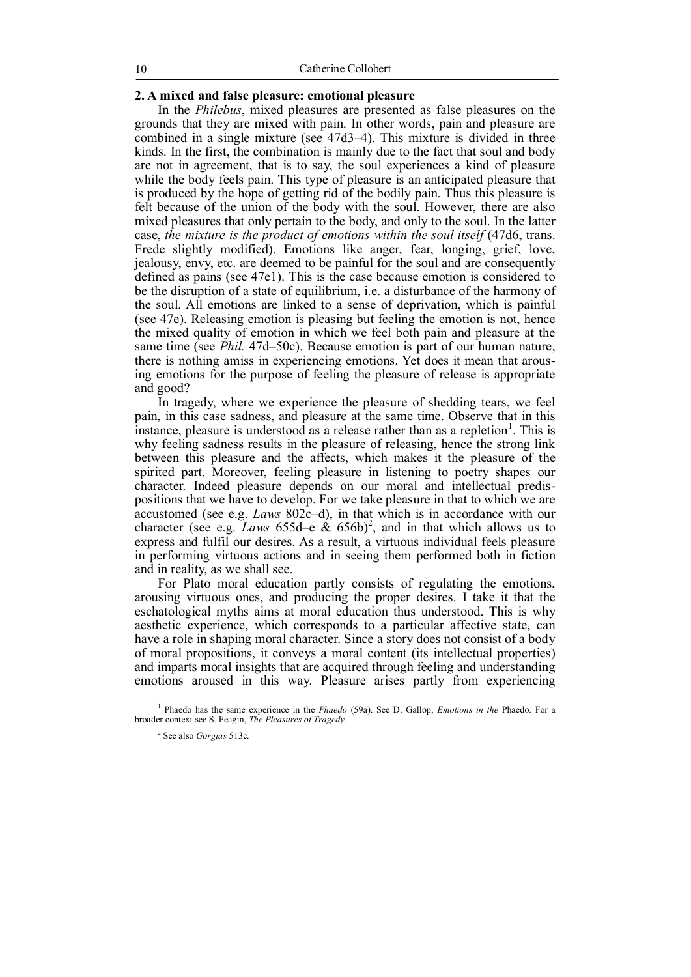# **2. A mixed and false pleasure: emotional pleasure**

In the *Philebus*, mixed pleasures are presented as false pleasures on the grounds that they are mixed with pain. In other words, pain and pleasure are combined in a single mixture (see 47d3–4). This mixture is divided in three kinds. In the first, the combination is mainly due to the fact that soul and body are not in agreement, that is to say, the soul experiences a kind of pleasure while the body feels pain. This type of pleasure is an anticipated pleasure that is produced by the hope of getting rid of the bodily pain. Thus this pleasure is felt because of the union of the body with the soul. However, there are also mixed pleasures that only pertain to the body, and only to the soul. In the latter case, *the mixture is the product of emotions within the soul itself* (47d6, trans. Frede slightly modified). Emotions like anger, fear, longing, grief, love, jealousy, envy, etc. are deemed to be painful for the soul and are consequently defined as pains (see 47e1). This is the case because emotion is considered to be the disruption of a state of equilibrium, i.e. a disturbance of the harmony of the soul. All emotions are linked to a sense of deprivation, which is painful (see 47e). Releasing emotion is pleasing but feeling the emotion is not, hence the mixed quality of emotion in which we feel both pain and pleasure at the same time (see *Phil.* 47d–50c). Because emotion is part of our human nature, there is nothing amiss in experiencing emotions. Yet does it mean that arousing emotions for the purpose of feeling the pleasure of release is appropriate and good?

In tragedy, where we experience the pleasure of shedding tears, we feel pain, in this case sadness, and pleasure at the same time. Observe that in this instance, pleasure is understood as a release rather than as a repletion<sup>1</sup>. This is why feeling sadness results in the pleasure of releasing, hence the strong link between this pleasure and the affects, which makes it the pleasure of the spirited part. Moreover, feeling pleasure in listening to poetry shapes our character. Indeed pleasure depends on our moral and intellectual predispositions that we have to develop. For we take pleasure in that to which we are accustomed (see e.g. *Laws* 802c–d), in that which is in accordance with our character (see e.g. *Laws* 655d–e  $\&$  656b)<sup>2</sup>, and in that which allows us to express and fulfil our desires. As a result, a virtuous individual feels pleasure in performing virtuous actions and in seeing them performed both in fiction and in reality, as we shall see.

For Plato moral education partly consists of regulating the emotions, arousing virtuous ones, and producing the proper desires. I take it that the eschatological myths aims at moral education thus understood. This is why aesthetic experience, which corresponds to a particular affective state, can have a role in shaping moral character. Since a story does not consist of a body of moral propositions, it conveys a moral content (its intellectual properties) and imparts moral insights that are acquired through feeling and understanding emotions aroused in this way. Pleasure arises partly from experiencing

<sup>1</sup> Phaedo has the same experience in the *Phaedo* (59a). See D. Gallop, *Emotions in the* Phaedo. For a broader context see S. Feagin, *The Pleasures of Tragedy*.

<sup>2</sup> See also *Gorgias* 513c.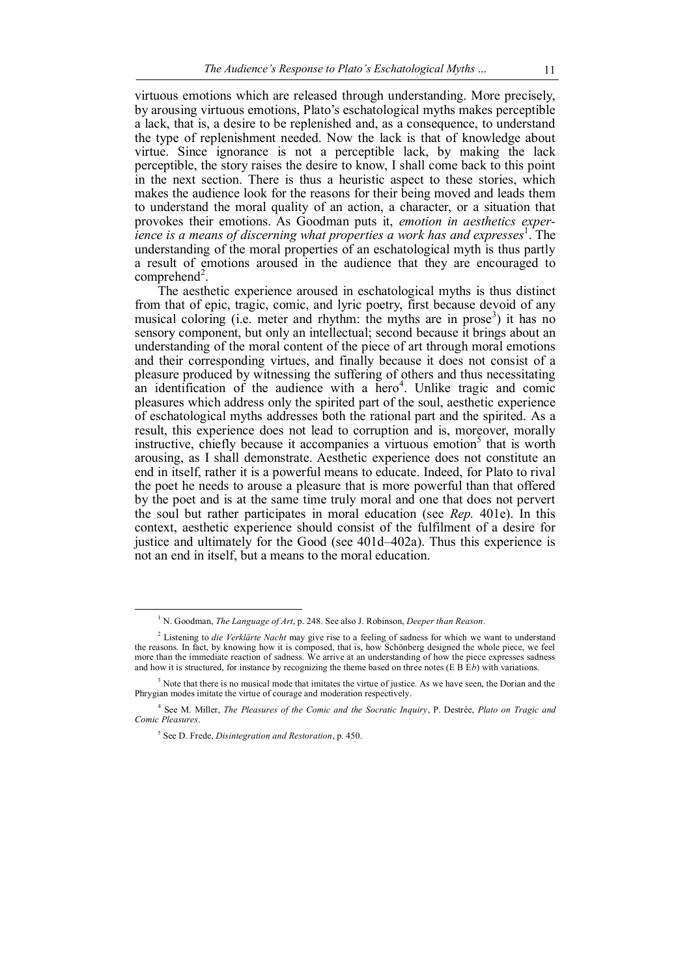virtuous emotions which are released through understanding. More precisely, by arousing virtuous emotions, Plato's eschatological myths makes perceptible a lack, that is, a desire to be replenished and, as a consequence, to understand the type of replenishment needed. Now the lack is that of knowledge about virtue. Since ignorance is not a perceptible lack, by making the lack perceptible, the story raises the desire to know, I shall come back to this point in the next section. There is thus a heuristic aspect to these stories, which makes the audience look for the reasons for their being moved and leads them to understand the moral quality of an action, a character, or a situation that provokes their emotions. As Goodman puts it, *emotion in aesthetics experience is a means of discerning what properties a work has and expresses*<sup>1</sup> . The understanding of the moral properties of an eschatological myth is thus partly a result of emotions aroused in the audience that they are encouraged to  $comprehend<sup>2</sup>$ .

The aesthetic experience aroused in eschatological myths is thus distinct from that of epic, tragic, comic, and lyric poetry, first because devoid of any musical coloring (i.e. meter and rhythm: the myths are in prose<sup>3</sup>) it has no sensory component, but only an intellectual; second because it brings about an understanding of the moral content of the piece of art through moral emotions and their corresponding virtues, and finally because it does not consist of a pleasure produced by witnessing the suffering of others and thus necessitating an identification of the audience with a  $\text{hero}^4$ . Unlike tragic and comic pleasures which address only the spirited part of the soul, aesthetic experience of eschatological myths addresses both the rational part and the spirited. As a result, this experience does not lead to corruption and is, moreover, morally instructive, chiefly because it accompanies a virtuous emotion<sup>5</sup> that is worth arousing, as I shall demonstrate. Aesthetic experience does not constitute an end in itself, rather it is a powerful means to educate. Indeed, for Plato to rival the poet he needs to arouse a pleasure that is more powerful than that offered by the poet and is at the same time truly moral and one that does not pervert the soul but rather participates in moral education (see *Rep.* 401e). In this context, aesthetic experience should consist of the fulfilment of a desire for justice and ultimately for the Good (see 401d–402a). Thus this experience is not an end in itself, but a means to the moral education.

<sup>1</sup> N. Goodman, *The Language of Art*, p. 248. See also J. Robinson, *Deeper than Reason*.

<sup>&</sup>lt;sup>2</sup> Listening to *die Verklärte Nacht* may give rise to a feeling of sadness for which we want to understand the reasons. In fact, by knowing how it is composed, that is, how Schönberg designed the whole piece, we feel more than the immediate reaction of sadness. We arrive at an understanding of how the piece expresses sadness and how it is structured, for instance by recognizing the theme based on three notes (E B E*b*) with variations.

<sup>&</sup>lt;sup>3</sup> Note that there is no musical mode that imitates the virtue of justice. As we have seen, the Dorian and the Phrygian modes imitate the virtue of courage and moderation respectively.

<sup>4</sup> See M. Miller, *The Pleasures of the Comic and the Socratic Inquiry*, P. Destrée, *Plato on Tragic and Comic Pleasures*.

<sup>5</sup> See D. Frede, *Disintegration and Restoration*, p. 450.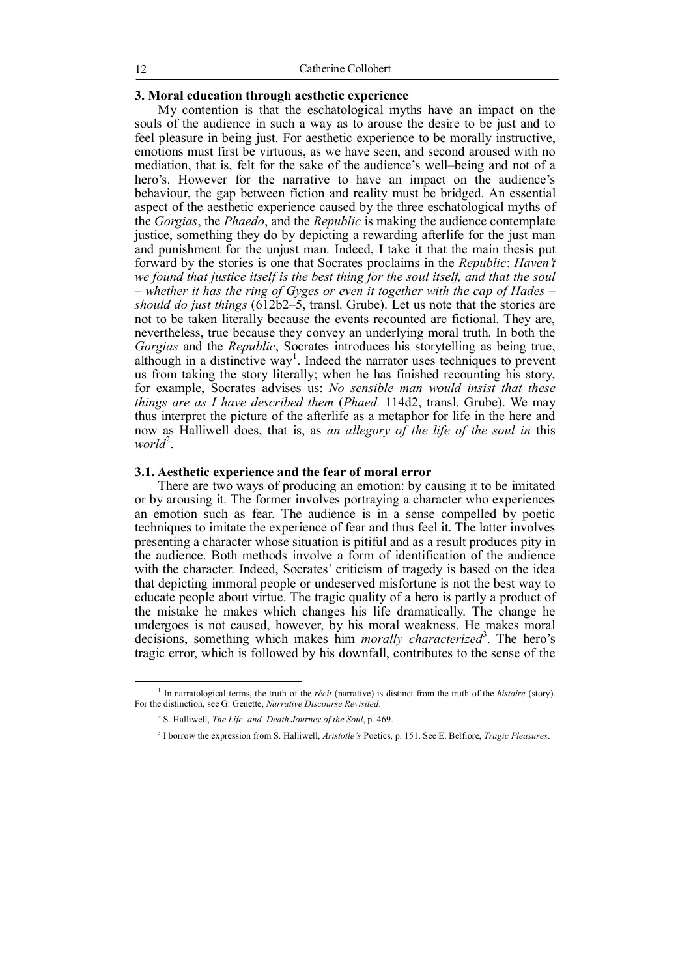# **3. Moral education through aesthetic experience**

My contention is that the eschatological myths have an impact on the souls of the audience in such a way as to arouse the desire to be just and to feel pleasure in being just. For aesthetic experience to be morally instructive, emotions must first be virtuous, as we have seen, and second aroused with no mediation, that is, felt for the sake of the audience's well–being and not of a hero's. However for the narrative to have an impact on the audience's behaviour, the gap between fiction and reality must be bridged. An essential aspect of the aesthetic experience caused by the three eschatological myths of the *Gorgias*, the *Phaedo*, and the *Republic* is making the audience contemplate justice, something they do by depicting a rewarding afterlife for the just man and punishment for the unjust man. Indeed, I take it that the main thesis put forward by the stories is one that Socrates proclaims in the *Republic*: *Haven't we found that justice itself is the best thing for the soul itself, and that the soul – whether it has the ring of Gyges or even it together with the cap of Hades – should do just things* (612b2–5, transl. Grube). Let us note that the stories are not to be taken literally because the events recounted are fictional. They are, nevertheless, true because they convey an underlying moral truth. In both the *Gorgias* and the *Republic*, Socrates introduces his storytelling as being true, although in a distinctive  $way<sup>1</sup>$ . Indeed the narrator uses techniques to prevent us from taking the story literally; when he has finished recounting his story, for example, Socrates advises us: *No sensible man would insist that these things are as I have described them* (*Phaed.* 114d2, transl. Grube). We may thus interpret the picture of the afterlife as a metaphor for life in the here and now as Halliwell does, that is, as *an allegory of the life of the soul in* this world<sup>2</sup>.

### **3.1. Aesthetic experience and the fear of moral error**

There are two ways of producing an emotion: by causing it to be imitated or by arousing it. The former involves portraying a character who experiences an emotion such as fear. The audience is in a sense compelled by poetic techniques to imitate the experience of fear and thus feel it. The latter involves presenting a character whose situation is pitiful and as a result produces pity in the audience. Both methods involve a form of identification of the audience with the character. Indeed, Socrates' criticism of tragedy is based on the idea that depicting immoral people or undeserved misfortune is not the best way to educate people about virtue. The tragic quality of a hero is partly a product of the mistake he makes which changes his life dramatically. The change he undergoes is not caused, however, by his moral weakness. He makes moral decisions, something which makes him *morally characterized*<sup>3</sup> . The hero's tragic error, which is followed by his downfall, contributes to the sense of the

<sup>1</sup> In narratological terms, the truth of the *récit* (narrative) is distinct from the truth of the *histoire* (story). For the distinction, see G. Genette, *Narrative Discourse Revisited*.

<sup>2</sup> S. Halliwell, *The Life–and–Death Journey of the Soul*, p. 469.

<sup>3</sup> I borrow the expression from S. Halliwell, *Aristotle's* Poetics, p. 151. See E. Belfiore, *Tragic Pleasures*.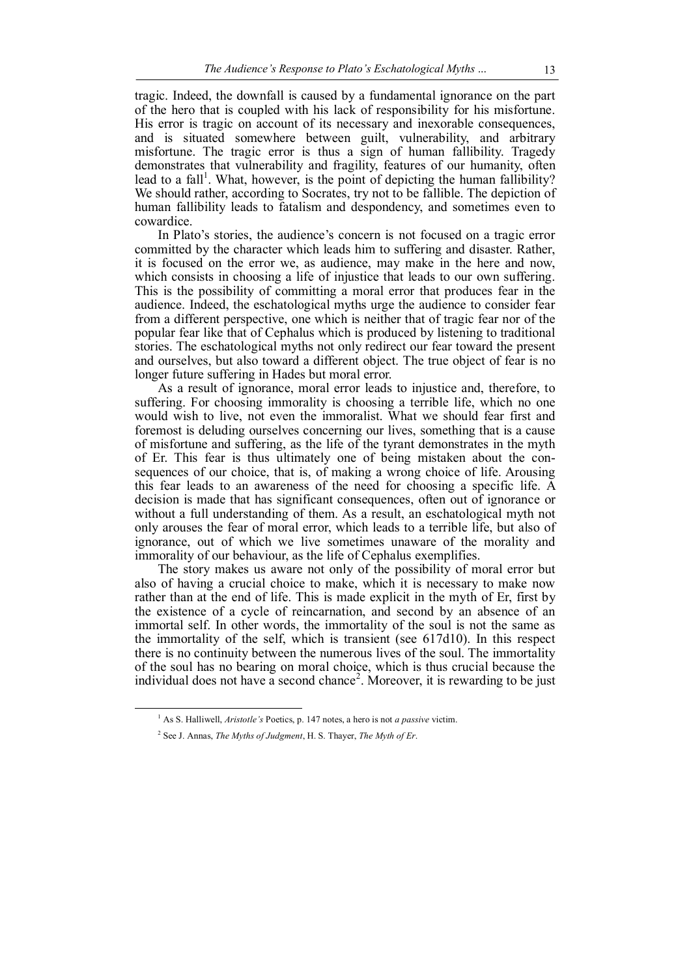tragic. Indeed, the downfall is caused by a fundamental ignorance on the part of the hero that is coupled with his lack of responsibility for his misfortune. His error is tragic on account of its necessary and inexorable consequences, and is situated somewhere between guilt, vulnerability, and arbitrary misfortune. The tragic error is thus a sign of human fallibility. Tragedy demonstrates that vulnerability and fragility, features of our humanity, often lead to a fall<sup>1</sup>. What, however, is the point of depicting the human fallibility? We should rather, according to Socrates, try not to be fallible. The depiction of human fallibility leads to fatalism and despondency, and sometimes even to cowardice.

In Plato's stories, the audience's concern is not focused on a tragic error committed by the character which leads him to suffering and disaster. Rather, it is focused on the error we, as audience, may make in the here and now, which consists in choosing a life of injustice that leads to our own suffering. This is the possibility of committing a moral error that produces fear in the audience. Indeed, the eschatological myths urge the audience to consider fear from a different perspective, one which is neither that of tragic fear nor of the popular fear like that of Cephalus which is produced by listening to traditional stories. The eschatological myths not only redirect our fear toward the present and ourselves, but also toward a different object. The true object of fear is no longer future suffering in Hades but moral error.

As a result of ignorance, moral error leads to injustice and, therefore, to suffering. For choosing immorality is choosing a terrible life, which no one would wish to live, not even the immoralist. What we should fear first and foremost is deluding ourselves concerning our lives, something that is a cause of misfortune and suffering, as the life of the tyrant demonstrates in the myth of Er. This fear is thus ultimately one of being mistaken about the consequences of our choice, that is, of making a wrong choice of life. Arousing this fear leads to an awareness of the need for choosing a specific life. A decision is made that has significant consequences, often out of ignorance or without a full understanding of them. As a result, an eschatological myth not only arouses the fear of moral error, which leads to a terrible life, but also of ignorance, out of which we live sometimes unaware of the morality and immorality of our behaviour, as the life of Cephalus exemplifies.

The story makes us aware not only of the possibility of moral error but also of having a crucial choice to make, which it is necessary to make now rather than at the end of life. This is made explicit in the myth of Er, first by the existence of a cycle of reincarnation, and second by an absence of an immortal self. In other words, the immortality of the soul is not the same as the immortality of the self, which is transient (see 617d10). In this respect there is no continuity between the numerous lives of the soul. The immortality of the soul has no bearing on moral choice, which is thus crucial because the individual does not have a second chance<sup>2</sup>. Moreover, it is rewarding to be just

<sup>1</sup> As S. Halliwell, *Aristotle's* Poetics, p. 147 notes, a hero is not *a passive* victim.

<sup>2</sup> See J. Annas, *The Myths of Judgment*, H. S. Thayer, *The Myth of Er*.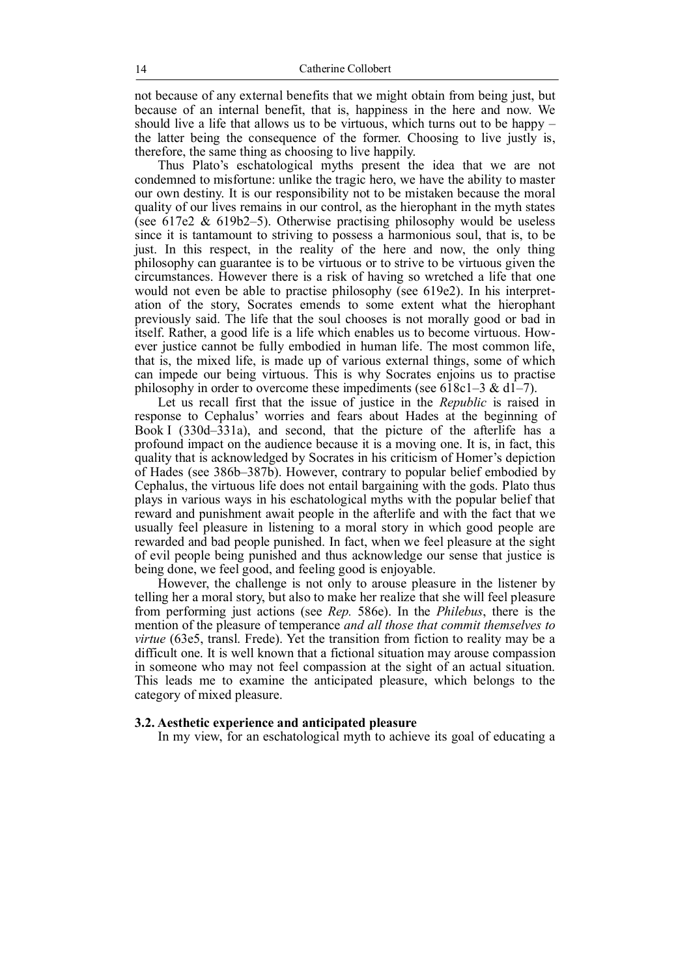not because of any external benefits that we might obtain from being just, but because of an internal benefit, that is, happiness in the here and now. We should live a life that allows us to be virtuous, which turns out to be happy  $$ the latter being the consequence of the former. Choosing to live justiv is, therefore, the same thing as choosing to live happily.

Thus Plato's eschatological myths present the idea that we are not condemned to misfortune: unlike the tragic hero, we have the ability to master our own destiny. It is our responsibility not to be mistaken because the moral quality of our lives remains in our control, as the hierophant in the myth states (see 617e2 & 619b2–5). Otherwise practising philosophy would be useless since it is tantamount to striving to possess a harmonious soul, that is, to be just. In this respect, in the reality of the here and now, the only thing philosophy can guarantee is to be virtuous or to strive to be virtuous given the circumstances. However there is a risk of having so wretched a life that one would not even be able to practise philosophy (see 619e2). In his interpretation of the story, Socrates emends to some extent what the hierophant previously said. The life that the soul chooses is not morally good or bad in itself. Rather, a good life is a life which enables us to become virtuous. However justice cannot be fully embodied in human life. The most common life, that is, the mixed life, is made up of various external things, some of which can impede our being virtuous. This is why Socrates enjoins us to practise philosophy in order to overcome these impediments (see 618c1–3 & d1–7).

Let us recall first that the issue of justice in the *Republic* is raised in response to Cephalus' worries and fears about Hades at the beginning of Book I (330d–331a), and second, that the picture of the afterlife has a profound impact on the audience because it is a moving one. It is, in fact, this quality that is acknowledged by Socrates in his criticism of Homer's depiction of Hades (see 386b–387b). However, contrary to popular belief embodied by Cephalus, the virtuous life does not entail bargaining with the gods. Plato thus plays in various ways in his eschatological myths with the popular belief that reward and punishment await people in the afterlife and with the fact that we usually feel pleasure in listening to a moral story in which good people are rewarded and bad people punished. In fact, when we feel pleasure at the sight of evil people being punished and thus acknowledge our sense that justice is being done, we feel good, and feeling good is enjoyable.

However, the challenge is not only to arouse pleasure in the listener by telling her a moral story, but also to make her realize that she will feel pleasure from performing just actions (see *Rep.* 586e). In the *Philebus*, there is the mention of the pleasure of temperance *and all those that commit themselves to virtue* (63e5, transl. Frede). Yet the transition from fiction to reality may be a difficult one. It is well known that a fictional situation may arouse compassion in someone who may not feel compassion at the sight of an actual situation. This leads me to examine the anticipated pleasure, which belongs to the category of mixed pleasure.

#### **3.2. Aesthetic experience and anticipated pleasure**

In my view, for an eschatological myth to achieve its goal of educating a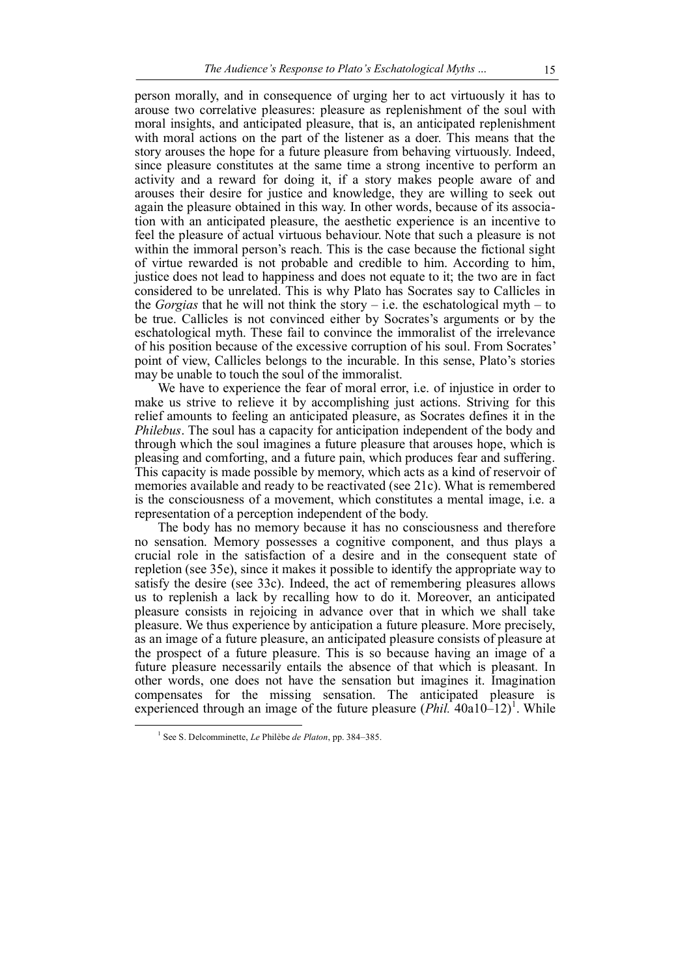person morally, and in consequence of urging her to act virtuously it has to arouse two correlative pleasures: pleasure as replenishment of the soul with moral insights, and anticipated pleasure, that is, an anticipated replenishment with moral actions on the part of the listener as a doer. This means that the story arouses the hope for a future pleasure from behaving virtuously. Indeed, since pleasure constitutes at the same time a strong incentive to perform an activity and a reward for doing it, if a story makes people aware of and arouses their desire for justice and knowledge, they are willing to seek out again the pleasure obtained in this way. In other words, because of its association with an anticipated pleasure, the aesthetic experience is an incentive to feel the pleasure of actual virtuous behaviour. Note that such a pleasure is not within the immoral person's reach. This is the case because the fictional sight of virtue rewarded is not probable and credible to him. According to him, justice does not lead to happiness and does not equate to it; the two are in fact considered to be unrelated. This is why Plato has Socrates say to Callicles in the *Gorgias* that he will not think the story – i.e. the eschatological myth – to be true. Callicles is not convinced either by Socrates's arguments or by the eschatological myth. These fail to convince the immoralist of the irrelevance of his position because of the excessive corruption of his soul. From Socrates' point of view, Callicles belongs to the incurable. In this sense, Plato's stories may be unable to touch the soul of the immoralist.

We have to experience the fear of moral error, i.e. of injustice in order to make us strive to relieve it by accomplishing just actions. Striving for this relief amounts to feeling an anticipated pleasure, as Socrates defines it in the *Philebus*. The soul has a capacity for anticipation independent of the body and through which the soul imagines a future pleasure that arouses hope, which is pleasing and comforting, and a future pain, which produces fear and suffering. This capacity is made possible by memory, which acts as a kind of reservoir of memories available and ready to be reactivated (see 21c). What is remembered is the consciousness of a movement, which constitutes a mental image, i.e. a representation of a perception independent of the body.

The body has no memory because it has no consciousness and therefore no sensation. Memory possesses a cognitive component, and thus plays a crucial role in the satisfaction of a desire and in the consequent state of repletion (see 35e), since it makes it possible to identify the appropriate way to satisfy the desire (see 33c). Indeed, the act of remembering pleasures allows us to replenish a lack by recalling how to do it. Moreover, an anticipated pleasure consists in rejoicing in advance over that in which we shall take pleasure. We thus experience by anticipation a future pleasure. More precisely, as an image of a future pleasure, an anticipated pleasure consists of pleasure at the prospect of a future pleasure. This is so because having an image of a future pleasure necessarily entails the absence of that which is pleasant. In other words, one does not have the sensation but imagines it. Imagination compensates for the missing sensation. The anticipated pleasure is experienced through an image of the future pleasure  $(Phi11$ <sup>1</sup>. 40a<sub>10</sub><sup>-1</sup>2<sup>1</sup>. While  $\overline{a}$ 

<sup>1</sup> See S. Delcomminette, *Le* Philèbe *de Platon*, pp. 384–385.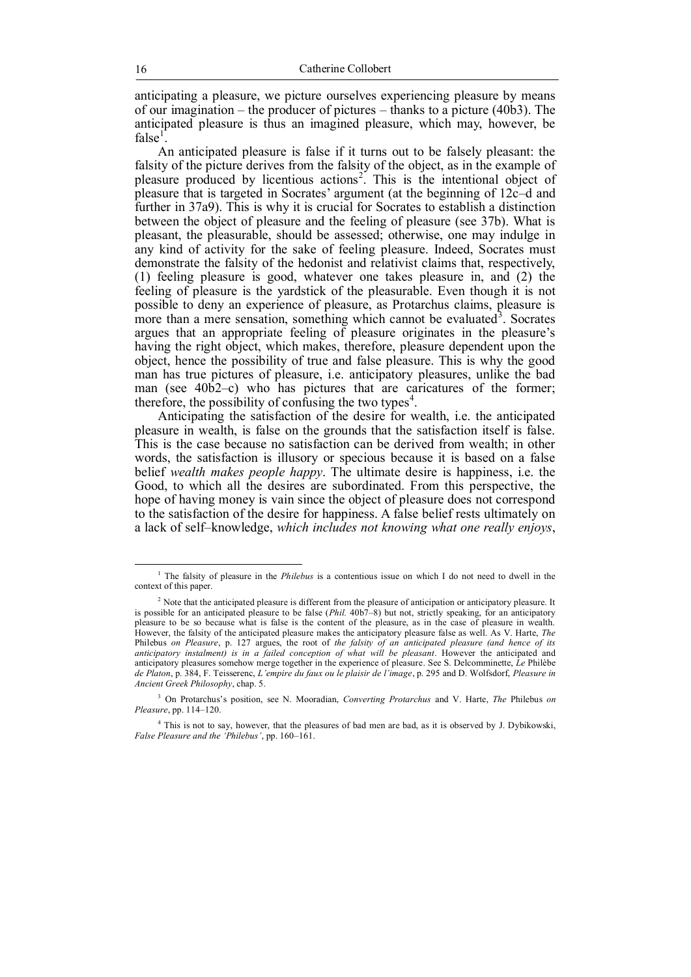anticipating a pleasure, we picture ourselves experiencing pleasure by means of our imagination – the producer of pictures – thanks to a picture (40b3). The anticipated pleasure is thus an imagined pleasure, which may, however, be  $false^1$ .

An anticipated pleasure is false if it turns out to be falsely pleasant: the falsity of the picture derives from the falsity of the object, as in the example of pleasure produced by licentious actions<sup>2</sup>. This is the intentional object of pleasure that is targeted in Socrates' argument (at the beginning of 12c–d and further in 37a9). This is why it is crucial for Socrates to establish a distinction between the object of pleasure and the feeling of pleasure (see 37b). What is pleasant, the pleasurable, should be assessed; otherwise, one may indulge in any kind of activity for the sake of feeling pleasure. Indeed, Socrates must demonstrate the falsity of the hedonist and relativist claims that, respectively, (1) feeling pleasure is good, whatever one takes pleasure in, and (2) the feeling of pleasure is the yardstick of the pleasurable. Even though it is not possible to deny an experience of pleasure, as Protarchus claims, pleasure is more than a mere sensation, something which cannot be evaluated<sup>3</sup>. Socrates argues that an appropriate feeling of pleasure originates in the pleasure's having the right object, which makes, therefore, pleasure dependent upon the object, hence the possibility of true and false pleasure. This is why the good man has true pictures of pleasure, i.e. anticipatory pleasures, unlike the bad man (see  $40\overline{b}2-c$ ) who has pictures that are caricatures of the former; therefore, the possibility of confusing the two types<sup>4</sup>.

Anticipating the satisfaction of the desire for wealth, i.e. the anticipated pleasure in wealth, is false on the grounds that the satisfaction itself is false. This is the case because no satisfaction can be derived from wealth; in other words, the satisfaction is illusory or specious because it is based on a false belief *wealth makes people happy*. The ultimate desire is happiness, i.e. the Good, to which all the desires are subordinated. From this perspective, the hope of having money is vain since the object of pleasure does not correspond to the satisfaction of the desire for happiness. A false belief rests ultimately on a lack of self–knowledge, *which includes not knowing what one really enjoys*,

<sup>&</sup>lt;sup>1</sup> The falsity of pleasure in the *Philebus* is a contentious issue on which I do not need to dwell in the context of this paper.

<sup>&</sup>lt;sup>2</sup> Note that the anticipated pleasure is different from the pleasure of anticipation or anticipatory pleasure. It is possible for an anticipated pleasure to be false (*Phil.* 40b7–8) but not, strictly speaking, for an anticipatory pleasure to be so because what is false is the content of the pleasure, as in the case of pleasure in wealth. However, the falsity of the anticipated pleasure makes the anticipatory pleasure false as well. As V. Harte, *The* Philebus *on Pleasure*, p. 127 argues, the root of *the falsity of an anticipated pleasure (and hence of its anticipatory instalment) is in a failed conception of what will be pleasant*. However the anticipated and anticipatory pleasures somehow merge together in the experience of pleasure. See S. Delcomminette, *Le* Philèbe *de Platon*, p. 384, F. Teisserenc, *L'empire du faux ou le plaisir de l'image*, p. 295 and D. Wolfsdorf, *Pleasure in Ancient Greek Philosophy*, chap. 5.

<sup>3</sup> On Protarchus's position, see N. Mooradian, *Converting Protarchus* and V. Harte, *The* Philebus *on Pleasure*, pp. 114–120.

<sup>&</sup>lt;sup>4</sup> This is not to say, however, that the pleasures of bad men are bad, as it is observed by J. Dybikowski, *False Pleasure and the 'Philebus'*, pp. 160–161.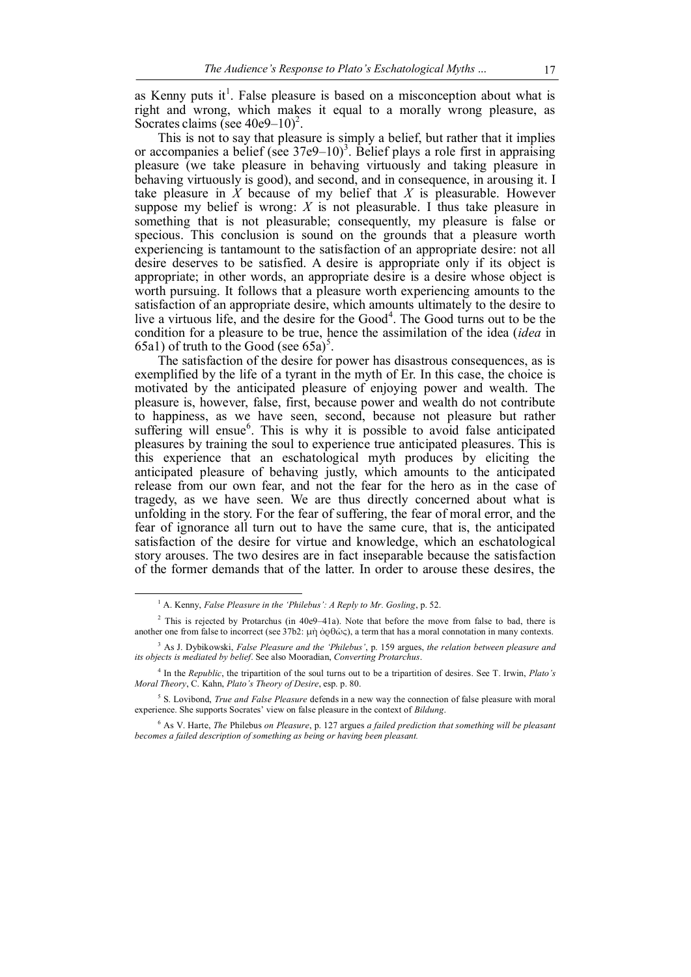as Kenny puts it<sup>1</sup>. False pleasure is based on a misconception about what is right and wrong, which makes it equal to a morally wrong pleasure, as Socrates claims (see  $40e9-10$ )<sup>2</sup>.

This is not to say that pleasure is simply a belief, but rather that it implies or accompanies a belief (see  $37e9-10$ )<sup>3</sup>. Belief plays a role first in appraising pleasure (we take pleasure in behaving virtuously and taking pleasure in behaving virtuously is good), and second, and in consequence, in arousing it. I take pleasure in *X* because of my belief that *X* is pleasurable. However suppose my belief is wrong:  $X$  is not pleasurable. I thus take pleasure in something that is not pleasurable; consequently, my pleasure is false or specious. This conclusion is sound on the grounds that a pleasure worth experiencing is tantamount to the satisfaction of an appropriate desire: not all desire deserves to be satisfied. A desire is appropriate only if its object is appropriate; in other words, an appropriate desire is a desire whose object is worth pursuing. It follows that a pleasure worth experiencing amounts to the satisfaction of an appropriate desire, which amounts ultimately to the desire to live a virtuous life, and the desire for the  $Good<sup>4</sup>$ . The Good turns out to be the condition for a pleasure to be true, hence the assimilation of the idea (*idea* in 65a1) of truth to the Good (see  $65a$ )<sup>5</sup>.

The satisfaction of the desire for power has disastrous consequences, as is exemplified by the life of a tyrant in the myth of Er. In this case, the choice is motivated by the anticipated pleasure of enjoying power and wealth. The pleasure is, however, false, first, because power and wealth do not contribute to happiness, as we have seen, second, because not pleasure but rather suffering will ensue<sup>6</sup>. This is why it is possible to avoid false anticipated pleasures by training the soul to experience true anticipated pleasures. This is this experience that an eschatological myth produces by eliciting the anticipated pleasure of behaving justly, which amounts to the anticipated release from our own fear, and not the fear for the hero as in the case of tragedy, as we have seen. We are thus directly concerned about what is unfolding in the story. For the fear of suffering, the fear of moral error, and the fear of ignorance all turn out to have the same cure, that is, the anticipated satisfaction of the desire for virtue and knowledge, which an eschatological story arouses. The two desires are in fact inseparable because the satisfaction of the former demands that of the latter. In order to arouse these desires, the

<sup>&</sup>lt;sup>1</sup> A. Kenny, *False Pleasure in the 'Philebus': A Reply to Mr. Gosling*, p. 52.

 $2$  This is rejected by Protarchus (in 40e9–41a). Note that before the move from false to bad, there is another one from false to incorrect (see 37b2: µὴ ὀρθῶς), a term that has a moral connotation in many contexts.

<sup>3</sup> As J. Dybikowski, *False Pleasure and the 'Philebus'*, p. 159 argues, *the relation between pleasure and its objects is mediated by belief*. See also Mooradian, *Converting Protarchus*.

<sup>4</sup> In the *Republic*, the tripartition of the soul turns out to be a tripartition of desires. See T. Irwin, *Plato's Moral Theory*, C. Kahn, *Plato's Theory of Desire*, esp. p. 80.

<sup>5</sup> S. Lovibond, *True and False Pleasure* defends in a new way the connection of false pleasure with moral experience. She supports Socrates' view on false pleasure in the context of *Bildung*.

<sup>6</sup> As V. Harte, *The* Philebus *on Pleasure*, p. 127 argues *a failed prediction that something will be pleasant becomes a failed description of something as being or having been pleasant.*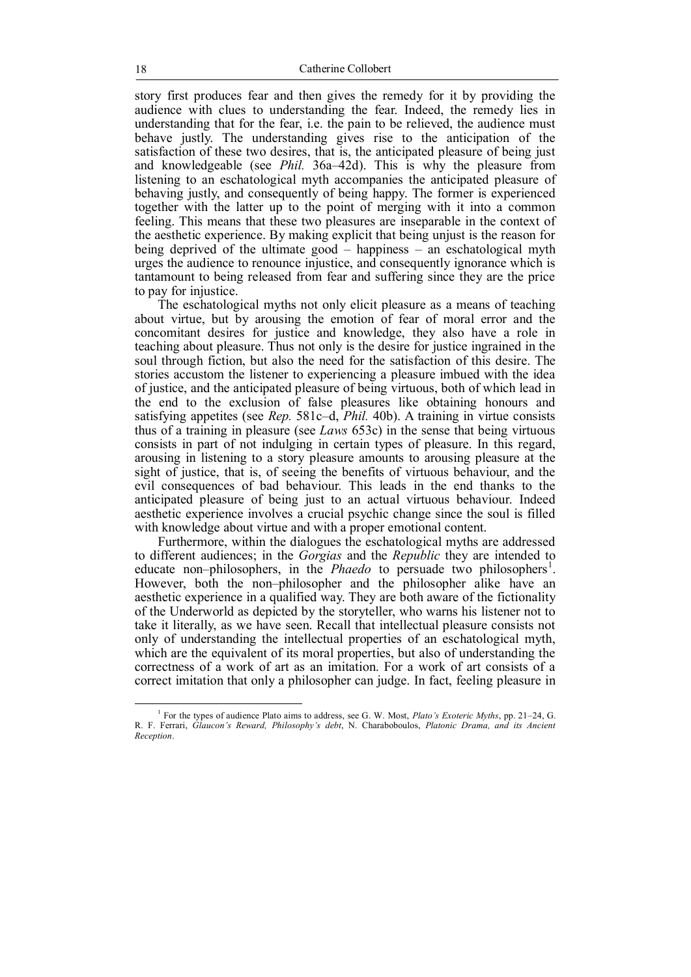story first produces fear and then gives the remedy for it by providing the audience with clues to understanding the fear. Indeed, the remedy lies in understanding that for the fear, i.e. the pain to be relieved, the audience must behave justly. The understanding gives rise to the anticipation of the satisfaction of these two desires, that is, the anticipated pleasure of being just and knowledgeable (see *Phil.* 36a–42d). This is why the pleasure from listening to an eschatological myth accompanies the anticipated pleasure of behaving justly, and consequently of being happy. The former is experienced together with the latter up to the point of merging with it into a common feeling. This means that these two pleasures are inseparable in the context of the aesthetic experience. By making explicit that being unjust is the reason for being deprived of the ultimate good  $-$  happiness  $-$  an eschatological myth urges the audience to renounce injustice, and consequently ignorance which is tantamount to being released from fear and suffering since they are the price to pay for injustice.

The eschatological myths not only elicit pleasure as a means of teaching about virtue, but by arousing the emotion of fear of moral error and the concomitant desires for justice and knowledge, they also have a role in teaching about pleasure. Thus not only is the desire for justice ingrained in the soul through fiction, but also the need for the satisfaction of this desire. The stories accustom the listener to experiencing a pleasure imbued with the idea of justice, and the anticipated pleasure of being virtuous, both of which lead in the end to the exclusion of false pleasures like obtaining honours and satisfying appetites (see *Rep.* 581c–d, *Phil.* 40b). A training in virtue consists thus of a training in pleasure (see *Laws* 653c) in the sense that being virtuous consists in part of not indulging in certain types of pleasure. In this regard, arousing in listening to a story pleasure amounts to arousing pleasure at the sight of justice, that is, of seeing the benefits of virtuous behaviour, and the evil consequences of bad behaviour. This leads in the end thanks to the anticipated pleasure of being just to an actual virtuous behaviour. Indeed aesthetic experience involves a crucial psychic change since the soul is filled with knowledge about virtue and with a proper emotional content.

Furthermore, within the dialogues the eschatological myths are addressed to different audiences; in the *Gorgias* and the *Republic* they are intended to educate non-philosophers, in the *Phaedo* to persuade two philosophers<sup>1</sup>. However, both the non–philosopher and the philosopher alike have an aesthetic experience in a qualified way. They are both aware of the fictionality of the Underworld as depicted by the storyteller, who warns his listener not to take it literally, as we have seen. Recall that intellectual pleasure consists not only of understanding the intellectual properties of an eschatological myth, which are the equivalent of its moral properties, but also of understanding the correctness of a work of art as an imitation. For a work of art consists of a correct imitation that only a philosopher can judge. In fact, feeling pleasure in

<sup>1</sup> For the types of audience Plato aims to address, see G. W. Most, *Plato's Exoteric Myths*, pp. 21–24, G. R. F. Ferrari, *Glaucon's Reward, Philosophy's debt*, N. Charaboboulos, *Platonic Drama, and its Ancient Reception*.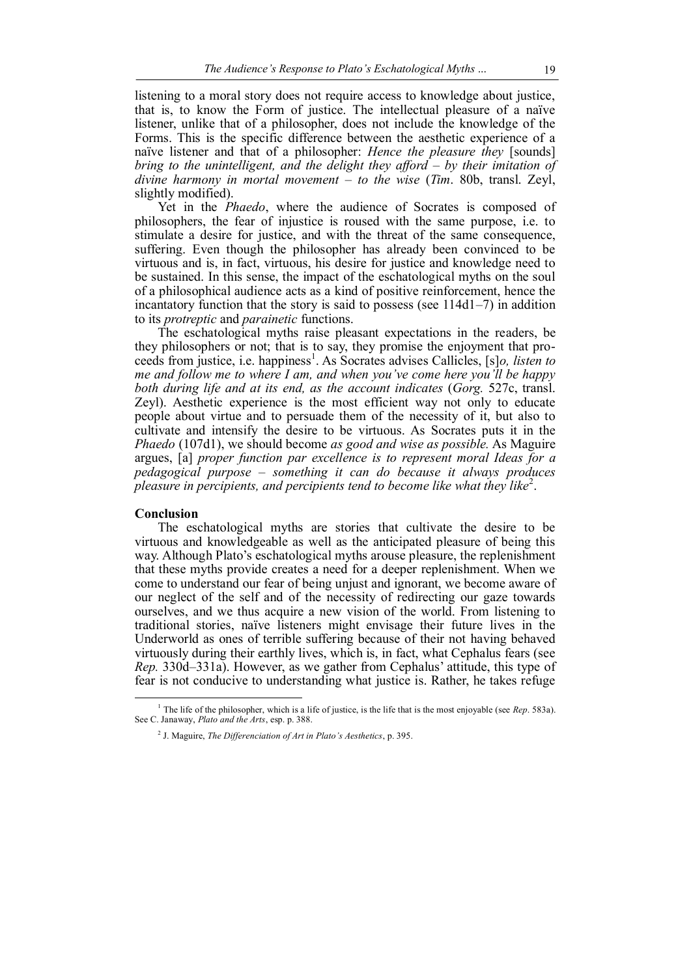listening to a moral story does not require access to knowledge about justice, that is, to know the Form of justice. The intellectual pleasure of a naïve listener, unlike that of a philosopher, does not include the knowledge of the Forms. This is the specific difference between the aesthetic experience of a naïve listener and that of a philosopher: *Hence the pleasure they* [sounds] *bring to the unintelligent, and the delight they afford – by their imitation of divine harmony in mortal movement – to the wise* (*Tim*. 80b, transl. Zeyl, slightly modified).

Yet in the *Phaedo*, where the audience of Socrates is composed of philosophers, the fear of injustice is roused with the same purpose, i.e. to stimulate a desire for justice, and with the threat of the same consequence, suffering. Even though the philosopher has already been convinced to be virtuous and is, in fact, virtuous, his desire for justice and knowledge need to be sustained. In this sense, the impact of the eschatological myths on the soul of a philosophical audience acts as a kind of positive reinforcement, hence the incantatory function that the story is said to possess (see 114d1–7) in addition to its *protreptic* and *parainetic* functions.

The eschatological myths raise pleasant expectations in the readers, be they philosophers or not; that is to say, they promise the enjoyment that proceeds from justice, i.e. happiness<sup>1</sup>. As Socrates advises Callicles, [s]*o, listen to me and follow me to where I am, and when you've come here you'll be happy both during life and at its end, as the account indicates* (*Gorg.* 527c, transl. Zeyl). Aesthetic experience is the most efficient way not only to educate people about virtue and to persuade them of the necessity of it, but also to cultivate and intensify the desire to be virtuous. As Socrates puts it in the *Phaedo* (107d1), we should become *as good and wise as possible.* As Maguire argues, [a] *proper function par excellence is to represent moral Ideas for a pedagogical purpose – something it can do because it always produces pleasure in percipients, and percipients tend to become like what they like*<sup>2</sup> .

### **Conclusion**

 $\overline{a}$ 

The eschatological myths are stories that cultivate the desire to be virtuous and knowledgeable as well as the anticipated pleasure of being this way. Although Plato's eschatological myths arouse pleasure, the replenishment that these myths provide creates a need for a deeper replenishment. When we come to understand our fear of being unjust and ignorant, we become aware of our neglect of the self and of the necessity of redirecting our gaze towards ourselves, and we thus acquire a new vision of the world. From listening to traditional stories, naïve listeners might envisage their future lives in the Underworld as ones of terrible suffering because of their not having behaved virtuously during their earthly lives, which is, in fact, what Cephalus fears (see *Rep.* 330d–331a). However, as we gather from Cephalus' attitude, this type of fear is not conducive to understanding what justice is. Rather, he takes refuge

<sup>&</sup>lt;sup>1</sup> The life of the philosopher, which is a life of justice, is the life that is the most enjoyable (see *Rep.* 583a). See C. Janaway, *Plato and the Arts*, esp. p. 388.

<sup>2</sup> J. Maguire, *The Differenciation of Art in Plato's Aesthetics*, p. 395.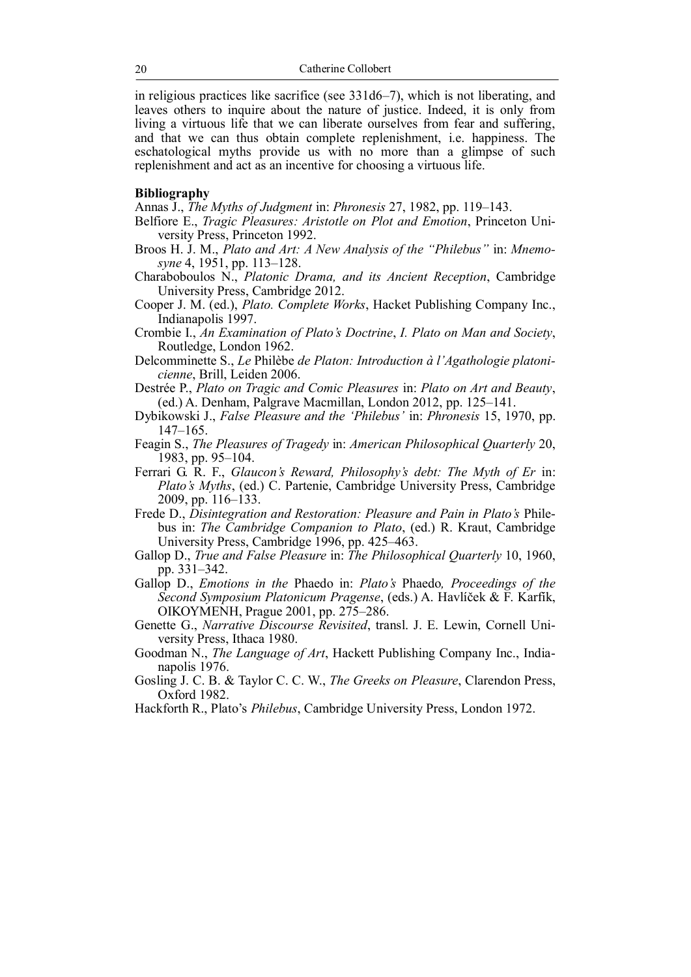in religious practices like sacrifice (see 331d6–7), which is not liberating, and leaves others to inquire about the nature of justice. Indeed, it is only from living a virtuous life that we can liberate ourselves from fear and suffering, and that we can thus obtain complete replenishment, i.e. happiness. The eschatological myths provide us with no more than a glimpse of such replenishment and act as an incentive for choosing a virtuous life.

# **Bibliography**

Annas J., *The Myths of Judgment* in: *Phronesis* 27, 1982, pp. 119–143.

- Belfiore E., *Tragic Pleasures: Aristotle on Plot and Emotion*, Princeton University Press, Princeton 1992.
- Broos H. J. M., *Plato and Art: A New Analysis of the "Philebus"* in: *Mnemosyne* 4, 1951, pp. 113–128.
- Charaboboulos N., *Platonic Drama, and its Ancient Reception*, Cambridge University Press, Cambridge 2012.
- Cooper J. M. (ed.), *Plato. Complete Works*, Hacket Publishing Company Inc., Indianapolis 1997.
- Crombie I., *An Examination of Plato's Doctrine*, *I. Plato on Man and Society*, Routledge, London 1962.
- Delcomminette S., *Le* Philèbe *de Platon: Introduction à l'Agathologie platonicienne*, Brill, Leiden 2006.
- Destrée P., *Plato on Tragic and Comic Pleasures* in: *Plato on Art and Beauty*, (ed.) A. Denham, Palgrave Macmillan, London 2012, pp. 125–141.
- Dybikowski J., *False Pleasure and the 'Philebus'* in: *Phronesis* 15, 1970, pp. 147–165.
- Feagin S., *The Pleasures of Tragedy* in: *American Philosophical Quarterly* 20, 1983, pp. 95–104.
- Ferrari G. R. F., *Glaucon's Reward, Philosophy's debt: The Myth of Er* in: *Plato's Myths*, (ed.) C. Partenie, Cambridge University Press, Cambridge 2009, pp. 116–133.
- Frede D., *Disintegration and Restoration: Pleasure and Pain in Plato's* Philebus in: *The Cambridge Companion to Plato*, (ed.) R. Kraut, Cambridge University Press, Cambridge 1996, pp. 425–463.
- Gallop D., *True and False Pleasure* in: *The Philosophical Quarterly* 10, 1960, pp. 331–342.
- Gallop D., *Emotions in the* Phaedo in: *Plato's* Phaedo*, Proceedings of the Second Symposium Platonicum Pragense*, (eds.) A. Havlíček & F. Karfík, ΟΙΚΟΥΜΕΝΗ, Prague 2001, pp. 275–286.
- Genette G., *Narrative Discourse Revisited*, transl. J. E. Lewin, Cornell University Press, Ithaca 1980.
- Goodman N., *The Language of Art*, Hackett Publishing Company Inc., Indianapolis 1976.
- Gosling J. C. B. & Taylor C. C. W., *The Greeks on Pleasure*, Clarendon Press, Oxford 1982.
- Hackforth R., Plato's *Philebus*, Cambridge University Press, London 1972.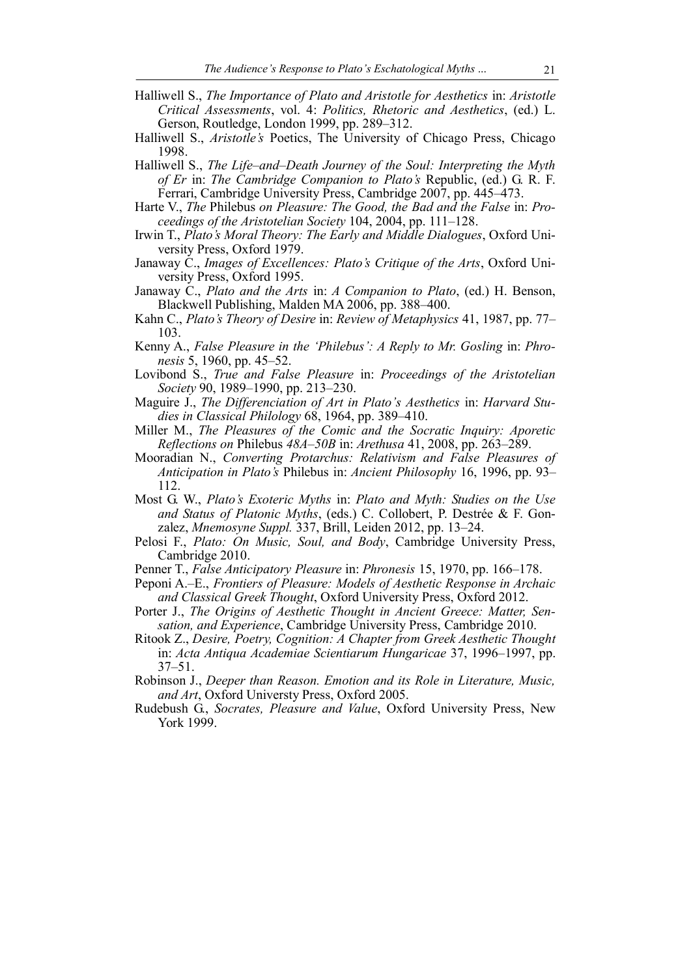- Halliwell S., *The Importance of Plato and Aristotle for Aesthetics* in: *Aristotle Critical Assessments*, vol. 4: *Politics, Rhetoric and Aesthetics*, (ed.) L. Gerson, Routledge, London 1999, pp. 289–312.
- Halliwell S., *Aristotle's* Poetics, The University of Chicago Press, Chicago 1998.
- Halliwell S., *The Life–and–Death Journey of the Soul: Interpreting the Myth of Er* in: *The Cambridge Companion to Plato's* Republic, (ed.) G. R. F. Ferrari, Cambridge University Press, Cambridge 2007, pp. 445–473.
- Harte V., *The* Philebus *on Pleasure: The Good, the Bad and the False* in: *Proceedings of the Aristotelian Society* 104, 2004, pp. 111–128.
- Irwin T., *Plato's Moral Theory: The Early and Middle Dialogues*, Oxford University Press, Oxford 1979.
- Janaway C., *Images of Excellences: Plato's Critique of the Arts*, Oxford University Press, Oxford 1995.
- Janaway C., *Plato and the Arts* in: *A Companion to Plato*, (ed.) H. Benson, Blackwell Publishing, Malden MA 2006, pp. 388–400.
- Kahn C., *Plato's Theory of Desire* in: *Review of Metaphysics* 41, 1987, pp. 77– 103.
- Kenny A., *False Pleasure in the 'Philebus': A Reply to Mr. Gosling* in: *Phronesis* 5, 1960, pp. 45–52.
- Lovibond S., *True and False Pleasure* in: *Proceedings of the Aristotelian Society* 90, 1989–1990, pp. 213–230.
- Maguire J., *The Differenciation of Art in Plato's Aesthetics* in: *Harvard Studies in Classical Philology* 68, 1964, pp. 389–410.
- Miller M., *The Pleasures of the Comic and the Socratic Inquiry: Aporetic Reflections on* Philebus *48A–50B* in: *Arethusa* 41, 2008, pp. 263–289.
- Mooradian N., *Converting Protarchus: Relativism and False Pleasures of Anticipation in Plato's* Philebus in: *Ancient Philosophy* 16, 1996, pp. 93– 112.
- Most G. W., *Plato's Exoteric Myths* in: *Plato and Myth: Studies on the Use and Status of Platonic Myths*, (eds.) C. Collobert, P. Destrée & F. Gonzalez, *Mnemosyne Suppl.* 337, Brill, Leiden 2012, pp. 13–24.
- Pelosi F., *Plato: On Music, Soul, and Body*, Cambridge University Press, Cambridge 2010.
- Penner T., *False Anticipatory Pleasure* in: *Phronesis* 15, 1970, pp. 166–178.
- Peponi A.–E., *Frontiers of Pleasure: Models of Aesthetic Response in Archaic and Classical Greek Thought*, Oxford University Press, Oxford 2012.
- Porter J., *The Origins of Aesthetic Thought in Ancient Greece: Matter, Sensation, and Experience*, Cambridge University Press, Cambridge 2010.
- Ritook Z., *Desire, Poetry, Cognition: A Chapter from Greek Aesthetic Thought* in: *Acta Antiqua Academiae Scientiarum Hungaricae* 37, 1996–1997, pp. 37–51.
- Robinson J., *Deeper than Reason. Emotion and its Role in Literature, Music, and Art*, Oxford Universty Press, Oxford 2005.
- Rudebush G., *Socrates, Pleasure and Value*, Oxford University Press, New York 1999.